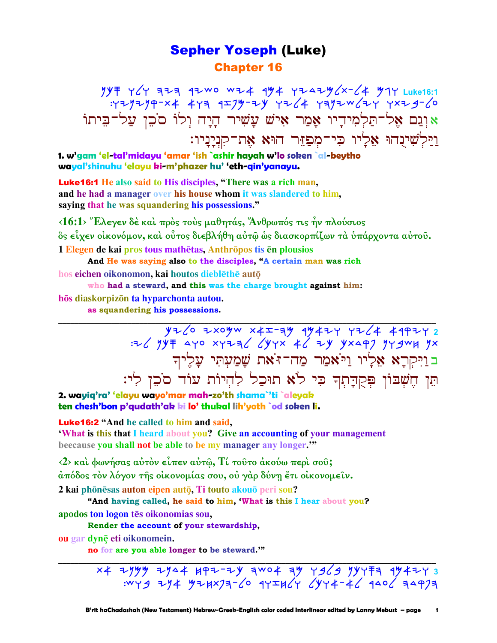### **Sepher Yoseph (Luke) Chapter 16**

 $YYF YCY$  ㅋ - 12 Wo WZ4 144 YZ424/2 - 4 714 Luke16:1 : 429299-x4 449 9I99-24 4264 4992W/24 4x29-60 אוְנֵם אֱל־תַּלְמִידֵיו אָמַר אִישׁ עַשִׁיר הַיָּה וְלוֹ סֹכֵן עַל־בִּיתוֹ וילשינהו אַלַיו כִּי־מִפַזֵּר הוּא אֶת־קִנְיָנְיו:

1. w'gam 'el-tal'midayu 'amar 'ish `ashir hayah w'lo soken `al-beytho wayal'shinuhu 'elayu ki-m'phazer hu' 'eth-qin'yanayu.

**Luke16:1** He also said to His disciples, "There was a rich man, and he had a manager over his house whom it was slandered to him. saying that he was squandering his possessions."

 $\langle 16:1 \rangle$  Έλεγεν δέ και πρός τους μαθητάς, Άνθρωπός τις ην πλούσιος ὃς εἶχεν οἰκονόμον, καὶ οὗτος διεβλήθη αὐτῷ ὡς διασκορπίζων τὰ ὑπάρχοντα αὐτοῦ. 1 Elegen de kai pros tous mathētas, Anthrōpos tis en plousios

And He was saying also to the disciples, "A certain man was rich hos eichen oikonomon, kai houtos dieblēthē autō

who had a steward, and this was the charge brought against him: hōs diaskorpizōn ta hyparchonta autou.

as squandering his possessions.

 $y7/67$  2xoyw x4I-7y 1947 77/4 49977 2<br>F 4Yo xy7z3/ (yyx 4/ 7y yx49) 7y 3w 7x בוַיִּקְרָא אֶלְיוּ וַיֹּאמַר מַה־זֹּאת שָׁמַעְתִּי עָלֶיךָ תֵּן חֵשְׁבּוֹן פִּקְדַתְךְ כִּי לֹא תוּכַל לְהִיוֹת עוֹד סֹכֵן לְי:

2. wayiq'ra' 'elayu wayo'mar mah-zo'th shama`'ti `aleyak ten chesh'bon p'qudath'ak ki lo' thukal lih'yoth `od soken li.

**Luke16:2** "And he called to him and said,

**What is this that I heard about you? Give an accounting of your management** beecause you shall not be able to be my manager any longer."

<2> και φωνήσας αύτον είπεν αύτω, Τί τουτο άκούω περι σου; άπόδος τον λόγον τής οικονομίας σου, ου γάρ δύνη έτι οικονομείν. 2 kai phōnēsas auton eipen autō. Ti touto akouō peri sou?

"And having called, he said to him, 'What is this I hear about you? apodos ton logon tēs oikonomias sou.

Render the account of your stewardship,

ou gar dynē eti oikonomein.

no for are you able longer to be steward."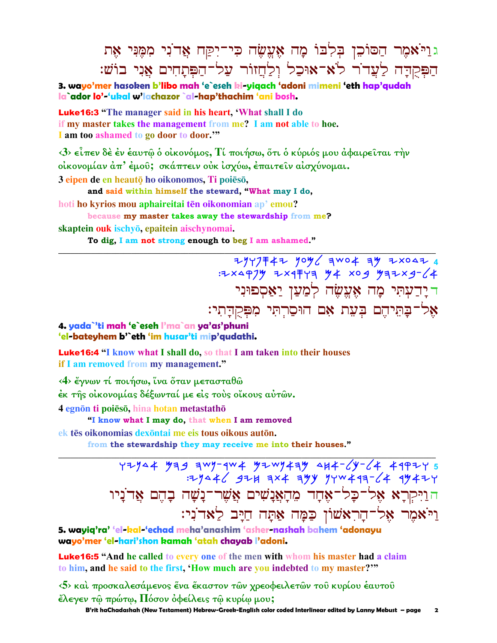## בוַיֹאמֵר הַסוֹכֵן בִּלְבוֹ מָה אֵעֵשָׂה כִּי־יִקַּח אַד<sup>ֹ</sup>נִי מִמֵּנִּי אָת הַפִּקְהַה לַעֲדֹר לֹא־אוּכַל וְלַחֲזוֹר עַל־הַפִּתַחִים אֲנִי בוֹשׁ:

**3. wayo'mer hasoken b'libo mah 'e`eseh ki-yiqach 'adoni mimeni 'eth hap'qudah la`ador lo'-'ukal w'lachazor `al-hap'thachim 'ani bosh.**

Luke16:3 **"The manager said in his heart, 'What shall I do if my master takes the management from me? I am not able to hoe. I am too ashamed to go door to door.'"**

**‹3› εἶπεν δὲ ἐν ἑαυτῷ ὁ οἰκονόµος, Τί ποιήσω, ὅτι ὁ κύριός µου ἀφαιρεῖται τὴν οἰκονοµίαν ἀπ' ἐµοῦ; σκάπτειν οὐκ ἰσχύω, ἐπαιτεῖν αἰσχύνοµαι.** 

**\_\_\_\_\_\_\_\_\_\_\_\_\_\_\_\_\_\_\_\_\_\_\_\_\_\_\_\_\_\_\_\_\_\_\_\_\_\_\_\_\_\_\_\_\_\_\_\_\_\_\_\_\_\_\_\_\_\_\_\_\_\_\_\_\_\_\_\_\_\_\_\_\_\_\_\_\_\_\_\_\_\_\_\_\_\_\_\_\_\_\_\_\_**

 $3$  eipen de en heautō ho oikonomos, Ti poiesō,

 **and said within himself the steward, "What may I do,**

**hoti ho kyrios mou aphaireitai <b>tēn oikonomian** ap<sup>3</sup> **emou?** 

**because my master takes away the stewardship from me?**

**skaptein ouk ischy, epaitein aischynomai.** 

 **To dig, I am not strong enough to beg I am ashamed."** 

 ynwpsay noml hcoa hm ytody **4**   $:7\times97\%$   $7\times9779$   $100$   $100$   $100$   $100$   $100$   $100$   $100$   $100$   $100$   $100$ ר יָדַעְתִּי מָה אֶעֱשֶׂה לְמַעַן יַאַסִפוּנִי  $\cdot$ אַל־בַּתֵּיהֵם בִּעֵת אָם הוּסַרְתִּי מִפִּקְדָתִי

**4. yada`'ti mah 'e`eseh l'ma`an ya'as'phuni 'el-bateyhem b'`eth 'im husar'ti mip'qudathi.**

Luke16:4 **"I know what I shall do, so that I am taken into their houses if I am removed from my management."**

**‹4› ἔγνων τί ποιήσω, ἵνα ὅταν µετασταθῶ** 

**ἐκ τῆς οἰκονοµίας δέξωνταί µε εἰς τοὺς οἴκους αὐτῶν.** 

**4 egnōn ti poiēsō, hina hotan metastathō** 

 **"I know what I may do, that when I am removed**

**ek tēs oikonomias dexontai me eis tous oikous auton.** 

**from the stewardship they may receive me into their houses."** 

**\_\_\_\_\_\_\_\_\_\_\_\_\_\_\_\_\_\_\_\_\_\_\_\_\_\_\_\_\_\_\_\_\_\_\_\_\_\_\_\_\_\_\_\_\_\_\_\_\_\_\_\_\_\_\_\_\_\_\_\_\_\_\_\_\_\_\_\_\_\_\_\_\_\_\_\_\_\_\_\_\_\_\_\_\_\_\_\_\_\_\_\_\_** YZYQ4 Ya*9* awy-aw4 YZWY4aY AH4-6Y-64 49PZY 5 :yndal byj hta hmk nwcarh-la rmayw ה וַיִּקְרַא אָל־כַל־אָחַד מֶהַאֲנַשִׁים אֲשֶׁר־נַשַׁה בָהֶם אֲד<sup>י</sup>נַיו נייֹאמֶר אַל־הַרְאֹשׁוֹן כַּמַּה אַתַּה חַיַּב לַאד<sup>ּי</sup>נִי:

**5. wayiq'ra' 'el-kal-'echad meha'anashim 'asher-nashah bahem 'adonayu wayo'mer 'el-hari'shon kamah 'atah chayab l'adoni.**

Luke16:5 **"And he called to every one of the men with whom his master had a claim to him, and he said to the first, 'How much are you indebted to my master?'"** 

**‹5› καὶ προσκαλεσάµενος ἕνα ἕκαστον τῶν χρεοφειλετῶν τοῦ κυρίου ἑαυτοῦ ἔλεγεν τῷ πρώτῳ, Πόσον ὀφείλεις τῷ κυρίῳ µου;** 

 **B'rit haChadashah (New Testament) Hebrew-Greek-English color coded Interlinear edited by Lanny Mebust – page 2**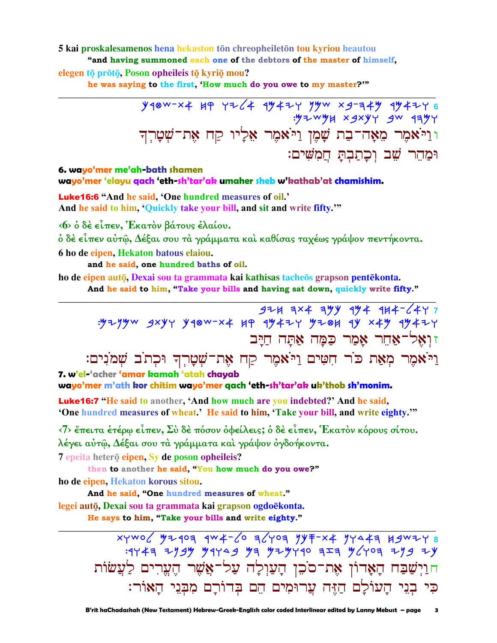#### 5 kai proskalesamenos hena hekaston tōn chreopheiletōn tou kyriou heautou

"and having summoned each one of the debtors of the master of himself,

elegen tō prōtō, Poson opheileis tō kyriō mou?

he was saying to the first, 'How much do you owe to my master?'"

וּוַיֹּאמֶר מֵאֲהֹ־בַת שֲׁמֵן וַיֹּאמֶר אֵלָיו קַח אֶת־שִׁטָרְךָ וּמַהֵר שֵׁב וַכְתַבְתַּ חֲמִשִׁים:

#### 6. wayo'mer me'ah-bath shamen

wayo'mer 'elayu gach 'eth-sh'tar'ak umaher sheb w'kathab'at chamishim.

Luke16:6 "And he said, 'One hundred measures of oil.' And he said to him, 'Quickly take your bill, and sit and write fifty."

«6» ο δέ είπεν, Έκατον βάτους έλαίου.

ό δὲ εἶπεν αὐτῷ, Δέξαι σου τὰ γράμματα καὶ καθίσας ταχέως γράψον πεντήκοντα. 6 ho de eipen. Hekaton batous elaiou.

and he said, one hundred baths of oil.

ho de eipen autō, Dexai sou ta grammata kai kathisas tacheōs grapson pentēkonta. And he said to him, "Take your bills and having sat down, quickly write fifty."

 $374$  3x4 39y 494 414-6447 : 52990 3x44 4480-x4 44 44424 5284 44 x44 44424 זואל־אחר אמר כמה אתה חיב וַיֹּאמֶר מְאַת כֹּר חִטִּים וַיֹּאמֶר קַח אֶת־שָׁטָרְךָ וּכְתֹב שָׁמֹנִים:

7. w'el-'acher 'amar kamah 'atah chayab

wayo'mer m'ath kor chitim wayo'mer gach 'eth-sh'tar'ak uk'thob sh'monim.

Luke16:7 "He said to another, 'And how much are you indebted?' And he said, 'One hundred measures of wheat.' He said to him, 'Take your bill, and write eighty.""

 $\langle 7 \rangle$  έπειτα ετέρω είπεν, Σύ δε πόσον όφείλεις; ο δε είπεν, Έκατον κόρους σίτου. λέγει αύτω, Δέξαι σου τα γράμματα και γράψον ογδοήκοντα.

7 epeita heterō eipen. Sy de poson opheileis?

then to another he said, "You how much do you owe?"

ho de eipen, Hekaton korous sitou.

And he said, "One hundred measures of wheat."

legei autō, Dexai sou ta grammata kai grapson ogdoēkonta.

He says to him, "Take your bills and write eighty."

xywo / 42407 9WX- 6 7 1407 947- x4 94447 83447 8  $74747$  2999 94749 97 929740 727 96707 299 29 חוַיְשַׁבַּח הָאָרוֹן אָת־סֹכֵן הָעַוִלָה עַל־אֲשֶׁר הֵעֲרִים לַעֲשׂוֹת כִּי בְנֵי הַעוֹלַם הַזֶּה עֲרוּמִים הֵם בִּדוֹרַם מִבְּנֵי הַאּוֹר: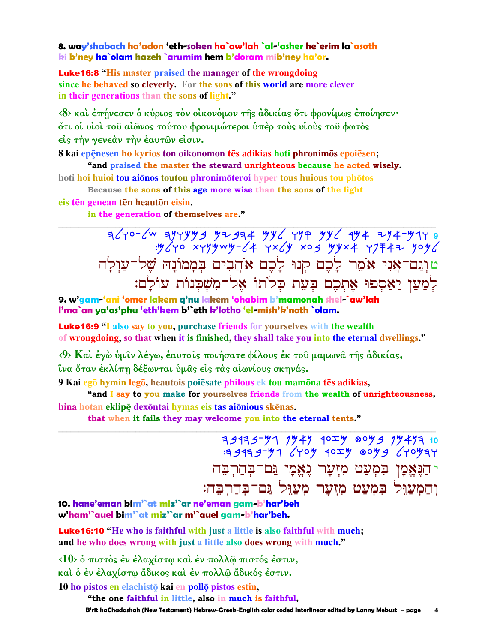8. way'shabach ha'adon 'eth-soken ha`aw'lah `al-'asher he`erim la`asoth ki b'ney ha`olam hazeh `arumim hem b'doram mib'ney ha'or.

**Luke 16:8** "His master praised the manager of the wrongdoing" since he behaved so cleverly. For the sons of this world are more clever in their generations than the sons of light."

<8> και έπήνεσεν ο κύριος τον οικονόμον της άδικίας ότι φρονίμως έποιησεν· ότι οι υίοι του αίώνος τούτου φρονιμώτεροι υπέρ τους υίους του φωτος είς την γενεάν την έαυτών είσιν.

8 kai epēnesen ho kyrios ton oikonomon tēs adikias hoti phronimos epoiesen; "and praised the master the steward unrighteous because he acted wisely.

hoti hoi huioi tou aionos toutou phronimoteroi hyper tous huious tou photos

Because the sons of this age more wise than the sons of the light eis tên genean tên heautōn eisin.

in the generation of themselves are."

 $3640 - 60$   $-1419$   $-149$   $-149$   $-149$   $-149$   $-149$   $-149$   $-149$   $-149$   $-149$   $-149$   $-149$   $-149$   $-149$   $-149$   $-149$   $-149$   $-149$   $-149$   $-149$   $-149$   $-149$   $-149$   $-149$   $-149$   $-149$   $-149$   $-149$   $-149$   $-149$ טוְגַם־אֲנִי אֹמֵר לָכֶם קְנוּ לָכֶם אֹהֲבִים בִּמָמוֹנַה שֵׁל־עַוִלַה לִמַעַן יַאֲסִפוּ אִתְכֶם בִּעֵת כִלֹתוֹ אֶל־מִשְׁכִּנוֹת עוֹלַם:

9. w'gam-'ani 'omer lakem q'nu lakem 'ohabim b'mamonah shel-`aw'lah I'ma`an ya'as'phu 'eth'kem b'`eth k'lotho 'el-mish'k'noth `olam.

**Luke16:9** "I also say to you, purchase friends for yourselves with the wealth of wrongdoing, so that when it is finished, they shall take you into the eternal dwellings."

<9> Και έγω ύμιν λέγω, έαυτοις ποιήσατε φίλους έκ του μαμωνα της άδικίας, ΐνα ὅταν ἐκλίπη δέξωνται ὑμᾶς εἰς τὰς αἰωνίους σκηνάς.

9 Kai egō hymin legō, heautois poiēsate philous ek tou mamōna tēs adikias,

"and I say to you make for yourselves friends from the wealth of unrighteousness, hina hotan eklipē dexontai hymas eis tas aionious skēnas.

that when it fails they may welcome you into the eternal tents."

 $799797$   $7949$   $4029$   $8099$   $99497$ <br> $109993$   $219997$   $219993$   $219997$ י הַנָּאֱמָן בִּמְעַט מִזְעָר נֶאֱמָן נַּם־בְּהַרְבֵּה וְהַמְעֲרֵל בִּמְעֲט מִזְעַר מִעֲרֶל גַּם־בִּהַרְבֵּה:

10. hane'eman bim'`at miz'`ar ne'eman gam-b'har'beh w'ham'`auel bim'`at miz'`ar m'`auel gam-b'har'beh.

**Luke16:10** "He who is faithful with just a little is also faithful with much; and he who does wrong with just a little also does wrong with much."

<10> ο πιστός έν έλαχίστω καί έν πολλώ πιστός έστιν, και ο έν έλαχίστω άδικος και έν πολλώ άδικός έστιν.

10 ho pistos en elachisto kai en pollo pistos estin.

"the one faithful in little, also in much is faithful,

B'rit haChadashah (New Testament) Hebrew-Greek-English color coded Interlinear edited by Lanny Mebust – page  $\overline{\mathbf{A}}$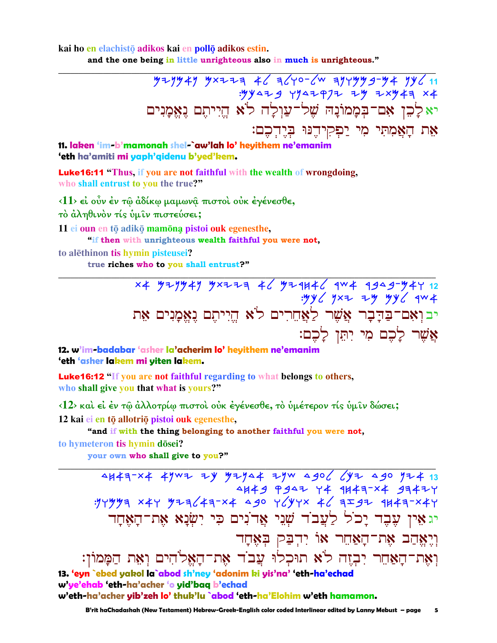kai ho en elachistō adikos kai en pollō adikos estin.

and the one being in little unrighteous also in much is unrighteous."

 $79 - 49$   $49$   $42 - 7 = 46$   $46 - 64$   $49 + 99$   $49 - 94$   $49$  $.99429$   $7947977$   $79$   $75949$ יא לָכֶן אִם־בִּמְמוֹנָה שָׁל-עֲוָלָה לֹא הֵיִיתֵם נֵאֵמַנִים אֶת הַאֲמִתִּי מִי יַפְקִידֶנּוּ בְּיֶדְכֶם: 11. laken 'im-b'mamonah shel-`aw'lah lo' heyithem ne'emanim 'eth ha'amiti mi yaph'qidenu b'yed'kem.

Luke16:11 "Thus, if you are not faithful with the wealth of wrongdoing, who shall entrust to you the true?"

<11> εί ούν έν τω άδίκω μαμωνα πιστοί ούκ έγένεσθε,

τὸ ἀληθινὸν τίς ὑμιν πιστεύσει;

11 ei oun en tō adikō mamōna pistoi ouk egenesthe,

"if then with unrighteous wealth faithful you were not,

to alethinon tis hymin pisteusei?

true riches who to you shall entrust?"

x4 yzyy4y yxzzą 46 yzqu46 qw4 qgag-y4y 12<br>yy6 yxz zy yy6 yxz +yyy6 qw4 יבואם־בַּדַּבָר אֲשֶׁר לַאֲחֶרִים לֹא הֱיִיתֵם נַאֱמַנִים אָת אֲשֶׁר לַכֶם מִי יְתֵּן לַכֶם:

12. w'im-badabar 'asher la'acherim lo' heyithem ne'emanim 'eth 'asher lakem mi yiten lakem.

Luke16:12 "If you are not faithful regarding to what belongs to others, who shall give you that what is yours?"

<12> και εί έν τω άλλοτρίω πιστοι ούκ έγένεσθε, το υμέτερον τίς υμίν δώσει;

12 kai ei en tō allotriō pistoi ouk egenesthe,

"and if with the thing belonging to another faithful you were not,

to hymeteron tis hymin dōsei?

your own who shall give to you?"

4H47-x4 4YWZ ZY YZY44 ZYW 4906 6YZ 490 YZ4 13 4449 9947 44 1443-X4 93474 יג אָין עֶבֶד יָכֹל לַעֲבֹד שְׁנֵי אֲדֹנִים כִּי יִשְׂנַא אֶת־הָאֲחַד וְיֵאֲהַב אֶת־הָאֲחֵר אוֹ יִדְבַּק בְּאֶחָד וְאֵת־הַאַחֵר יִבְזֶה לֹא תוּכִלוּ עֲבֹד אֶת־הָאֱלֹהִים וְאֶת הַמָּמוֹן: 13. 'eyn `ebed yakol la`abod sh'ney 'adonim ki yis'na' 'eth-ha'echad w'ye'ehab 'eth-ha'acher 'o yid'baq b'echad

w'eth-ha'acher yib'zeh lo' thuk'lu `abod 'eth-ha'Elohim w'eth hamamon.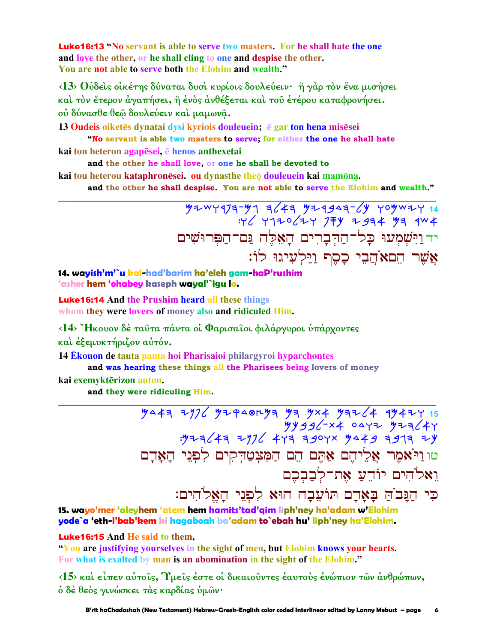**Luke16:13 "No servant is able to serve two masters. For he shall hate the one** and love the other, or he shall cling to one and despise the other. You are not able to serve both the Elohim and wealth."

 $\langle 13 \rangle$  θύδείς οικέτης δύναται δυσί κυρίοις δουλεύειν· ή γάρ τον ένα μισήσει και τον έτερον άγαπήσει, ή ένος ανθέξεται και του έτέρου καταφρονήσει. ού δύνασθε θεώ δουλεύειν και μαμωνά.

13 Oudeis oiketēs dynatai dysi kyriois douleuein; ē gar ton hena misēsei "No servant is able two masters to serve; for either the one he shall hate

kai ton heteron agapesei, e henos anthexetai

and the other he shall love, or one he shall be devoted to

kai tou heterou kataphronēsei. ou dynasthe theo douleuein kai mamona.

and the other he shall despise. You are not able to serve the Elohim and wealth."

יד וַיִּשְׁמְעוּ כָל־הַדְבְרִים הָאָלֶה גַּם־הַפִּרוּשִׁים אֲשֶׁר הֵםאֹהֲבֵי כָסֵף וַיַּלְעִיגוּ לוֹ:

14. wayish'm'`u kal-had'barim ha'eleh gam-haP'rushim 'asher hem 'ohabey kaseph wayal'`igu lo.

**Luke16:14** And the Prushim heard all these things whom they were lovers of money also and ridiculed Him.

<14> "Ηκουον δέ ταῦτα πάντα οί Φαρισαΐοι φιλάργυροι ὑπάρχοντες και έξεμυκτήριζον αύτόν.

14 Ekouon de tauta panta hoi Pharisaioi philargyroi hyparchontes

and was hearing these things all the Pharisees being lovers of money

kai exemyktērizon auton.

and they were ridiculing Him.

 $\frac{1}{2}$   $\frac{1}{2}$   $\frac{1}{2}$   $\frac{1}{2}$   $\frac{1}{2}$   $\frac{1}{2}$   $\frac{1}{2}$   $\frac{1}{2}$   $\frac{1}{2}$   $\frac{1}{2}$   $\frac{1}{2}$   $\frac{1}{2}$   $\frac{1}{2}$   $\frac{1}{2}$   $\frac{1}{2}$   $\frac{1}{2}$   $\frac{1}{2}$   $\frac{1}{2}$   $\frac{1}{2}$   $\frac{1}{2}$   $\frac{1}{2}$   $\frac{1}{2}$  טוניאמר אַלִיהֵם אַתֵּם הֵם הַמִּצְטַדְקִים לִפְנֵי הָאָדָם ואלהים יודע את־לבבכם כִּי הַגָּבֹהַ בָּאָדָם תּוֹעֵבָה הוּא לִפְגֵי הַאֵלֹהִים:

15. wavo'mer 'aleyhem 'atem hem hamits'tad'aim liph'ney ha'adam w'Elohim yode`a 'eth-l'bab'kem ki hagaboah ba'adam to`ebah hu' liph'ney ha'Elohim.

**Luke16:15** And He said to them.

"You are justifying yourselves in the sight of men, but Elohim knows your hearts. For what is exalted by man is an abomination in the sight of the Elohim."

<15> και είπεν αύτοις, Υμεις έστε οι δικαιούντες έαυτους ένώπιον των άνθρώπων, δ δέ θεὸς γινώσκει τὰς καρδίας ὑμῶν·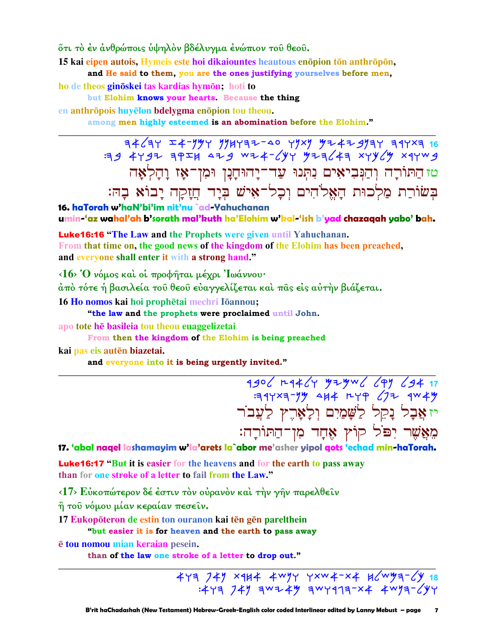őτι τὸ ἐν ἀνθρώποις ὑψηλὸν βδέλυγμα ἐνώπιον τοῦ θεοῦ.

15 kai eipen autois, Hymeis este hoi dikaiountes heautous enopion ton anthropon, and He said to them, you are the ones justifying yourselves before men,

ho de theos ginoskei tas kardias hymon; hoti to

but Elohim knows your hearts. Because the thing

en anthrōpois huyēlon bdelygma enōpion tou theou.

among men highly esteemed is an abomination before the Elohim."

טז הַתּוֹרָה וְהַנְּבִיאִים נִתְּנוּ עַד־יָהוּחָנָן וּמִן־אָז וָהָלְאָה בִּשׂוֹרַת מַלְכוּת הָאֱלֹהִים וִכָל־אִישׁ בִּיָד חֲזָקָה יָבוֹא בָהּ:

16. haTorah w'haN'bi'im nit'nu `ad-Yahuchanan umin-'az wahal'ah b'sorath mal'kuth ha'Elohim w'kal-'ish b'yad chazagah yabo' bah.

**Luke16:16 "The Law and the Prophets were given until Yahuchanan.** From that time on, the good news of the kingdom of the Elohim has been preached, and everyone shall enter it with a strong hand."

 $\langle 16 \rangle$  Ό νόμος και οι προφήται μέχρι Ιωάννου·

άπό τότε ή βασιλεία του θεου ευαγγελίζεται και πας είς αυτήν βιάζεται.

16 Ho nomos kai hoi prophetai mechri Iōannou;

"the law and the prophets were proclaimed until John.

apo tote he basileia tou theou euaggelizetai

From then the kingdom of the Elohim is being preached kai pas eis autēn biazetai.

and everyone into it is being urgently invited."

1906 H4464 929W6 679 694 17<br>314xa-99 444 H49 672 4W49 יזאֲבָל נָקֵל לַשֲׁמַיִם וְלָאָרֶץ לַעֲבֹר מֵאֲשֶׁר יִפּׂל קוֹץ אֶחֲד מִן־הַתּוֹרַה:

17. 'abal nagel lashamayim w'la'arets la`abor me'asher yipol gots 'echad min-haTorah.

**Luke16:17** "But it is easier for the heavens and for the earth to pass away than for one stroke of a letter to fail from the Law."

<17> Εύκοπώτερον δέ έστιν τον ούρανον και την γην παρελθείν

η του νόμου μίαν κεραίαν πεσείν.

17 Eukopōteron de estin ton ouranon kai tēn gēn parelthein

"but easier it is for heaven and the earth to pass away

ē tou nomou mian keraian pesein.

than of the law one stroke of a letter to drop out."

 $473$  749 x414 4w97 7xw4-x4 14 2w93-64<br>2473 247 2x4 4w93-647 3w2444 4w93-647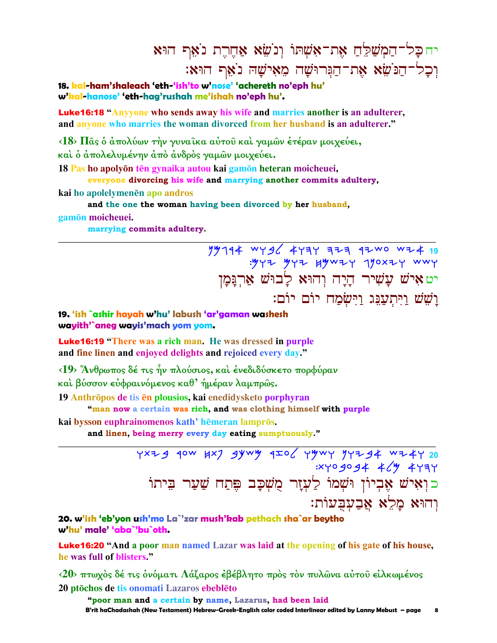## יחכל־הַמִשַׁלֵּחַ אֶת־אָשָׁתוֹ וְנֹשֵׂא אַחֶרֶת נֹאֵף הוּא וִכָל־הַנֹּשָׂא אֶת־הַנְּרוּשָׁה מֵאִישָׁהּ נֹאֵף הוּא:

18. kal-ham'shaleach 'eth-'ish'to w'nose' 'achereth no'eph hu' w'kal-hanose' 'eth-hag'rushah me'ishah no'eph hu'.

**Luke16:18 "Anyyone who sends away his wife and marries another is an adulterer,** and anyone who marries the woman divorced from her husband is an adulterer."

<18> Πας ο άπολύων την γυναικα αύτου και γαμων έτέραν μοιχεύει, και ο άπολελυμένην άπο άνδρος γαμών μοιχεύει.

18 Pas ho apolyōn tēn gynaika autou kai gamōn heteran moicheuei,

#### everyone divorcing his wife and marrying another commits adultery,

kai ho apolelymenēn apo andros

#### and the one the woman having been divorced by her husband,

gamōn moicheuei.

marrying commits adultery.

79794 WYS6 4737 323 9200 WZ4 19<br>394 92007 92004 474 474 WWY: יט איש עָשִׁיר הָיָה וְהוּא לָבוּשׁ אַרְגַּמָן ושש ויתענג וישמח יום יום:

#### 19. 'ish `ashir hayah w'hu' labush 'ar'gaman washesh wayith'`aneg wayis'mach yom yom.

**Luke16:19** "There was a rich man. He was dressed in purple and fine linen and enjoyed delights and rejoiced every day."

<19> Άνθρωπος δέ τις ήν πλούσιος, και ένεδιδύσκετο πορφύραν

και βύσσον εὐφραινόμενος καθ' ήμέραν λαμπρῶς.

19 Anthrōpos de tis ēn plousios, kai enedidysketo porphyran

#### "man now a certain was rich, and was clothing himself with purple

kai bysson euphrainomenos kath' hēmeran lamprōs.

and linen, being merry every day eating sumptuously."

YXZ 9 40W HX7 9YWY 4IO YYWY YYZ 94 WZ4Y 20  $3x + 9994 + 449 + 477$ כןאיש אָבְיוֹן וּשְׁמוֹ לַעָזָר מֻשִׁכָּב פִּתַח שַׁעַר בִּיתוֹ וְהוּא מַלֵא אַבְעִבְעוֹת:

20. w'ish 'eb'yon ush'mo La`'zar mush'kab pethach sha`ar bevtho w'hu' male' 'aba`'bu`oth

**Luke16:20 "And a poor man named Lazar was laid at the opening of his gate of his house,** he was full of blisters."

<20> πτωχός δέ τις όνόματι Λάζαρος έβέβλητο πρός τον πυλώνα αύτου είλκωμένος 20 ptōchos de tis onomati Lazaros ebeblēto

"poor man and a certain by name, Lazarus, had been laid B'rit haChadashah (New Testament) Hebrew-Greek-English color coded Interlinear edited by Lanny Mebust – page 8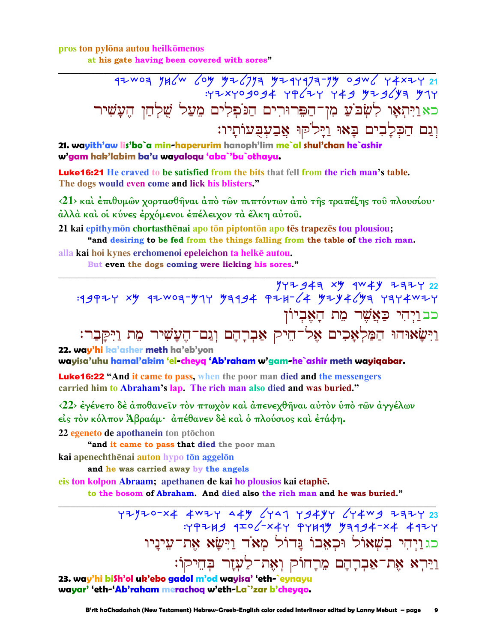pros ton pylōna autou heilkōmenos

at his gate having been covered with sores"

כאַוַיִּתְאָוּ לִשְׂבֹּעַ מִן־הַפִּרוּרִים הַנֹּפְלִים מֵעַל שֻׁלְחַן הֶעֲשִׁיר וְגַם הַכִּלָבִים בָאוּ וַיָּלֹקוּ אֲבַעִבְעוֹתָיו:

21. wayith'aw lis'bo`a min-haperurim hanoph'lim me`al shul'chan he`ashir w'gam hak'labim ba'u wayaloqu 'aba`'bu`othayu.

**Luke16:21** He craved to be satisfied from the bits that fell from the rich man's table. The dogs would even come and lick his blisters."

<21> και έπιθυμών χορτασθήναι άπο τών πιπτόντων άπο της τραπέζης του πλουσίου· άλλά και οι κύνες έρχόμενοι έπέλειχον τα έλκη αυτου.

21 kai epithymon chortasthenai apo ton piptonton apo tes trapezes tou plousiou; "and desiring to be fed from the things falling from the table of the rich man.

alla kai hoi kynes erchomenoi epeleichon ta helkē autou.

But even the dogs coming were licking his sores."

 $\frac{y}{y}+y+24 + y + 22$  Harry 22 1944 \*\* 1944 \*\* 1944 \*\* 1944 \*\* 1944 \*\* 1944 \*\* 1944 \*\* כבוַיִהִי כַּאֲשֶׁר מֵת הָאָבִיוֹן וַיִּשֵׂאוּהוּ הַמַּלְאָכִים אֶל־הֵיק אַבְרַהָם וְגַם־הֵעֲשִׁיר מֶת וַיִּקַּבַר:

22. way'hi ka'asher meth ha'eb'yon

wayisa'uhu hamal'akim 'el-cheyq 'Ab'raham w'gam-he`ashir meth wayiqabar.

**Luke16:22 "And it came to pass, when the poor man died and the messengers** carried him to Abraham's lap. The rich man also died and was buried."

<22> έγένετο δέ άποθανεῖν τὸν πτωχὸν καὶ ἀπενεχθῆναι αὐτὸν ὑπὸ τῶν ἀγγέλων είς τον κόλπον Άβραάμ· απέθανεν δε και ο πλούσιος και ετάφη.

22 egeneto de apothanein ton ptōchon

"and it came to pass that died the poor man

kai apenechthēnai auton hypo tōn aggelōn

and he was carried away by the angels

eis ton kolpon Abraam; apethanen de kai ho plousios kai etaphē. to the bosom of Abraham. And died also the rich man and he was buried."

> $Y+Y+Y-23$ <br> :YPZH9 9IO /-X4Y PYH9Y 79994-X4 49ZY כגַוַיִהִי בִשְׁאוֹל וּכְאֲבוֹ גֲדוֹל מְאֹד וַיִּשָׂא אֶת־עִינַיו וַיַּרִא אֶת־אַבְרָהָם מֵרָחוֹק וְאָת־לַעְזָר בִּחֵיקוֹ:

23. way'hi bi\$h'ol uk'ebo gadol m'od wayisa' 'eth-`eynayu wayar' 'eth-'Ab'raham merachoq w'eth-La`'zar b'cheygo.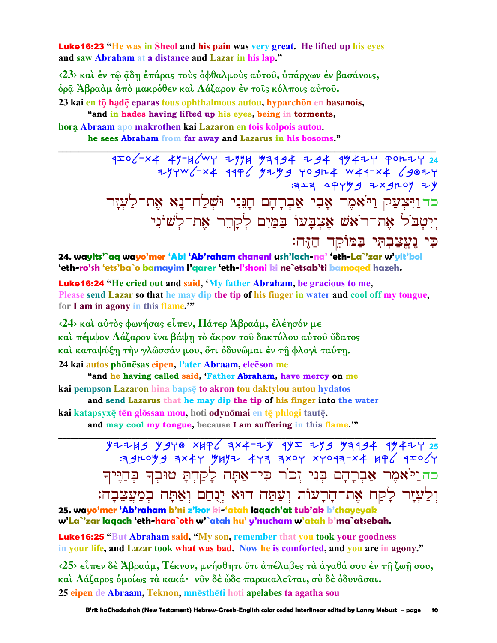**Luke16:23** "He was in Sheol and his pain was very great. He lifted up his eves and saw Abraham at a distance and Lazar in his lap."

<23> και έν τω άδη έπάρας τους όφθαλμους αύτου, υπάρχων έν βασάνοις, δρα Άβραὰμ ἀπὸ μακρόθεν καὶ Λάζαρον ἐν τοῖς κόλποις αὐτοῦ.

23 kai en tō hadē eparas tous ophthalmous autou, hyparchōn en basanois,

"and in hades having lifted up his eyes, being in torments, hora Abraam apo makrothen kai Lazaron en tois kolpois autou.

he sees Abraham from far away and Lazarus in his bosoms."

כדוַיִּצְעַק וַיֹּאמֶר אָבִי אַבְרָהָם הַגֵּנִי וּשָׁלַח־נַא אֶת־לַעְזַר וִיִטְבֹל אֶת־רֹאֹשׁ אֱצִבָּעוֹ בַּמַּיִם לְקָרֵר אֶת־לְשׁוֹנִי כִּי נִעֲצַבְהָי בַּמּוֹקֵד הַזֶּה:

24. wayits'`aq wayo'mer 'Abi 'Ab'raham chaneni ush'lach-na' 'eth-La`'zar w'yit'bol 'eth-ro'sh 'ets'ba`o bamayim l'qarer 'eth-l'shoni ki ne`etsab'ti bamoqed hazeh.

Luke16:24 "He cried out and said, 'My father Abraham, be gracious to me, Please send Lazar so that he may dip the tip of his finger in water and cool off my tongue, for I am in agony in this flame."

<24> και αύτος φωνήσας είπεν, Πάτερ Άβραάμ, έλέησόν με και πέμψον Λάζαρον ίνα βάψη το άκρον του δακτύλου αύτου ύδατος και καταψύξη την γλώσσάν μου, ότι όδυνώμαι έν τη φλογι ταύτη. 24 kai autos phōnēsas eipen, Pater Abraam, eleēson me

"and he having called said, 'Father Abraham, have mercy on me kai pempson Lazaron hina bapsę to akron tou daktylou autou hydatos

and send Lazarus that he may dip the tip of his finger into the water

kai katapsyxę tēn glossan mou, hoti odynomai en tę phlogi tautę. and may cool my tongue, because I am suffering in this flame."

> $Y$ 2249  $Y$ 940 xkg (3x4-2y 9y 279 7394 97424 35 392099 3x44 9492 443 3x04 x4093-x4 496 4I064 כהוליאמר אברהם בני זכור כי־אתה לקחת טובד בחייד וִלַעְזָר לָקַח אֶת־הָרָעוֹת וְעַתָּה הוּא יְגָחַם וְאַתָּה בְמַעֲצֵבָה:

25. wavo'mer 'Ab'raham b'ni z'kor ki-'atah lagach'at tub'ak b'chavevak w'La`'zar lagach 'eth-hara`oth w'`atah hu' y'nucham w'atah b'ma`atsebah.

**Luke16:25 "But Abraham said, "My son, remember that you took your goodness** in your life, and Lazar took what was bad. Now he is comforted, and you are in agony."

<25> είπεν δέ Άβραάμ, Τέκνον, μνήσθητι ότι απέλαβες τα αγαθά σου έν τη ζωή σου, καὶ Λάζαρος ὁμοίως τὰ κακά· νῦν δὲ ὦδε παρακαλεῖται, σὺ δὲ ὀδυνᾶσαι. 25 eipen de Abraam, Teknon, mnestheti hoti apelabes ta agatha sou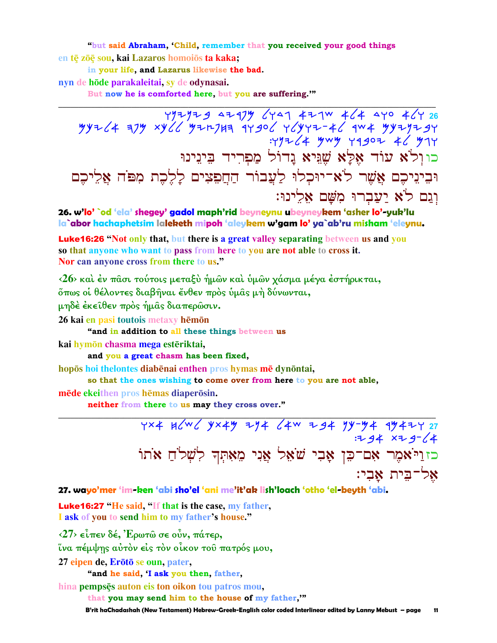"but said Abraham, 'Child, remember that you received your good things en tē zōē sou, kai Lazaros homoiōs ta kaka;

in your life, and Lazarus likewise the bad.

nyn de hōde parakaleitai, sy de odynasai.

But now he is comforted here, but you are suffering."

כוןלֹא עוֹד אֶלָּא שֶׁגִּיא נַדוֹל מַפִרִיד בִּינֵינוּ וּבִינִיכֵם אֲשֶׁר לֹא־יוּכִלוּ לַעֲבוֹר הַחֲפֵצִים לָלֶכֶת מִפּׂה אֲלֵיכֶם וגם לֹא יעברוּ מֹשׁם אלינוּ:

26. w'lo' `od 'ela' shegey' gadol maph'rid beyneynu ubeyneykem 'asher lo'-yuk'lu la`abor hachaphetsim laleketh mipoh 'aleykem w'gam lo' ya`ab'ru misham 'eleynu.

**Luke16:26 "Not only that, but there is a great valley separating between us and you** so that anyone who want to pass from here to you are not able to cross it. Nor can anyone cross from there to us."

<26> και έν πασι τούτοις μεταξυ ήμων και υμων χάσμα μέγα έστήρικται, όπως οι θέλοντες διαβήναι ένθεν προς υμας μη δύνωνται,

μηδέ έκειθεν πρός ήμας διαπερώσιν.

26 kai en pasi toutois metaxy hēmōn

"and in addition to all these things between us

kai hymōn chasma mega estēriktai,

and you a great chasm has been fixed,

hopos hoi the lontes diabenai enthen pros hymas me dynontai,

so that the ones wishing to come over from here to you are not able,

mēde ekeithen pros hēmas diaperōsin.

neither from there to us may they cross over."

YX4 BGWG YX4Y ZY4 G4W Z94 YY-Y4 174ZY 27  $7.34 \times 7.9 - 64$ כזולאמר אָם־כֵּן אָבִי שֹׁאֵל אֲנִי מֵאָתִּךְ לְשָׁלֹחַ אֹתוֹ אל־בית אבי:

#### 27. wayo'mer 'im-ken 'abi sho'el 'ani me'it'ak lish'loach 'otho 'el-beyth 'abi.

**Luke16:27** "He said, "If that is the case, my father, I ask of you to send him to my father's house."

 $\langle 27 \rangle$  είπεν δέ, Έρωτώ σε ούν, πάτερ,

ίνα πέμψης αύτον είς τον οίκον του πατρός μου,

27 eipen de, Erōtō se oun, pater,

"and he said, I ask you then, father,

hina pempsēs auton eis ton oikon tou patros mou,

that you may send him to the house of my father,""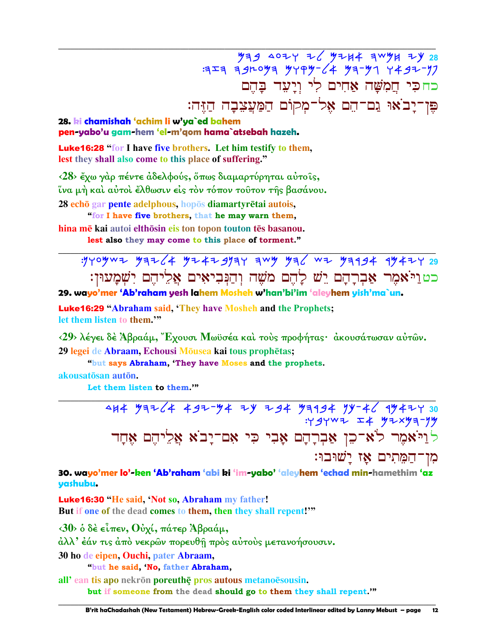439 4024 Z 4244 3W44 ZY 28  $777$  391093 9799-64 93-97 7497-97 כחכי חֲמָשָׁה אַחִים לִי וְיַעָּד בַּחֵם פֵּוְ־יָבֹאוּ גַם־הֵם אֶל־מִקוֹם הַמַּעֲצֶבָה הַזֶּה:

#### 28. ki chamishah 'achim li w'ya`ed bahem pen-yabo'u gam-hem 'el-m'gom hama`atsebah hazeh.

**Luke16:28 "for I have five brothers. Let him testify to them.** lest they shall also come to this place of suffering."

<28> έχω γάρ πέντε άδελφούς, όπως διαμαρτύρηται αύτοις, ΐνα μή και αύτοι έλθωσιν είς τον τόπον τουτον της βασάνου. 28 echō gar pente adelphous, hopōs diamartyrētai autois,

"for I have five brothers, that he may warn them, hina mē kai autoi elthōsin eis ton topon touton tēs basanou. lest also they may come to this place of torment."

כטויאמר אַבְרָהָם יֵשׁ לָהֶם מֹשֶׁה וְהַנְּבִיאִים אֲלֵיהֶם יִשְׁמַעוּן:

29. wayo'mer 'Ab'raham yesh lahem Mosheh w'han'bi'im 'aleyhem yish'ma`un.

**Luke16:29 "Abraham said, 'They have Mosheh and the Prophets;** let them listen to them."

<29> λέγει δέ Άβραάμ, "Εχουσι Μωϋσέα και τους προφήτας· ακουσάτωσαν αυτών. 29 legei de Abraam, Echousi Mōusea kai tous prophētas;

"but says Abraham, 'They have Moses and the prophets.

akousatōsan autōn.

Let them listen to them.""

לְוַיֹּאמֶר לֹא־כֵן אַבְרָהָם אָבִי כִּי אִם־יָבֹא אֲלֵיהֶם אֶחָד מן־המתים אז ישובו:

30. wayo'mer lo'-ken 'Ab'raham 'abi ki 'im-yabo' 'aleyhem 'echad min-hamethim 'az yashubu.

**Luke16:30 "He said, 'Not so, Abraham my father!** But if one of the dead comes to them, then they shall repent!"

 $\langle 30 \rangle$  δ δέ είπεν, Ούχί, πάτερ Άβραάμ,

άλλ' έάν τις άπό νεκρών πορευθή πρός αύτους μετανοήσουσιν.

30 ho de eipen, Ouchi, pater Abraam,

"but he said, 'No, father Abraham,

all'ean tis apo nekrōn poreuthe pros autous metanoesousin. but if someone from the dead should go to them they shall repent."